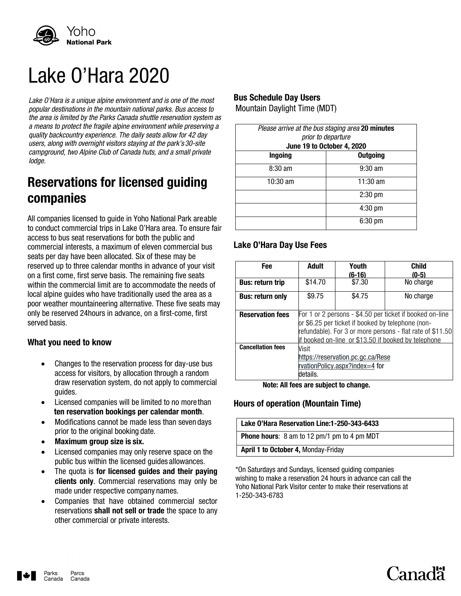

# Lake O'Hara 2020

*Lake O'Hara is a unique alpine environment and is one of the most popular destinations in the mountain national parks. Bus access to the area is limited by the Parks Canada shuttle reservation system as a means to protect the fragile alpine environment while preserving a quality backcountry experience. The daily seats allow for 42 day users, along with overnight visitors staying at the park's 30-site campground, two Alpine Club of Canada huts, and a small private lodge.*

## **Reservations for licensed guiding companies**

All companies licensed to guide in Yoho National Park areable to conduct commercial trips in Lake O'Hara area. To ensure fair access to bus seat reservations for both the public and commercial interests, a maximum of eleven commercial bus seats per day have been allocated. Six of these may be reserved up to three calendar months in advance of your visit on a first come, first serve basis. The remaining five seats within the commercial limit are to accommodate the needs of local alpine guides who have traditionally used the area as a poor weather mountaineering alternative. These five seats may only be reserved 24hours in advance, on a first-come, first served basis.

#### **What you need to know**

- Changes to the reservation process for day-use bus access for visitors, by allocation through a random draw reservation system, do not apply to commercial guides.
- Licensed companies will be limited to no more than **ten reservation bookings per calendar month**.
- Modifications cannot be made less than seven days prior to the original booking date.
- **Maximum group size is six.**
- Licensed companies may only reserve space on the public bus within the licensed guides allowances.
- The quota is **for licensed guides and their paying clients only**. Commercial reservations may only be made under respective company names.
- Companies that have obtained commercial sector reservations **shall not sell or trade** the space to any other commercial or private interests.

#### **Bus Schedule Day Users**

Mountain Daylight Time (MDT)

| Please arrive at the bus staging area 20 minutes<br>prior to departure |                   |  |  |
|------------------------------------------------------------------------|-------------------|--|--|
| June 19 to October 4, 2020                                             |                   |  |  |
| <b>Ingoing</b>                                                         | <b>Outgoing</b>   |  |  |
| $8:30 \text{ am}$                                                      | $9:30 \text{ am}$ |  |  |
| $10:30 \text{ am}$                                                     | $11:30$ am        |  |  |
|                                                                        | $2:30$ pm         |  |  |
|                                                                        | $4:30$ pm         |  |  |
|                                                                        | $6:30$ pm         |  |  |
|                                                                        |                   |  |  |

### **Lake O'Hara Day Use Fees**

| Fee                      | Adult                                                                                                                                                                                                                             | Youth<br>(6-16) | <b>Child</b><br>$(0-5)$ |  |
|--------------------------|-----------------------------------------------------------------------------------------------------------------------------------------------------------------------------------------------------------------------------------|-----------------|-------------------------|--|
| <b>Bus: return trip</b>  | \$14.70                                                                                                                                                                                                                           | \$7.30          | No charge               |  |
| <b>Bus: return only</b>  | \$9.75                                                                                                                                                                                                                            | \$4.75          | No charge               |  |
| <b>Reservation fees</b>  | For 1 or 2 persons - \$4.50 per ticket if booked on-line<br>or \$6.25 per ticket if booked by telephone (non-<br>refundable). For 3 or more persons - flat rate of \$11.50<br>if booked on-line or \$13.50 if booked by telephone |                 |                         |  |
| <b>Cancellation fees</b> | Visit<br>https://reservation.pc.gc.ca/Rese<br>rvationPolicy.aspx?index=4 for<br>details.                                                                                                                                          |                 |                         |  |

**Note: All fees are subject to change.**

#### **Hours of operation (Mountain Time)**

| Lake O'Hara Reservation Line:1-250-343-6433        |  |
|----------------------------------------------------|--|
| <b>Phone hours:</b> 8 am to 12 pm/1 pm to 4 pm MDT |  |
| April 1 to October 4, Monday-Friday                |  |

Canadä

\*On Saturdays and Sundays, licensed guiding companies wishing to make a reservation 24 hours in advance can call the Yoho National Park Visitor center to make their reservations at 1-250-343-6783